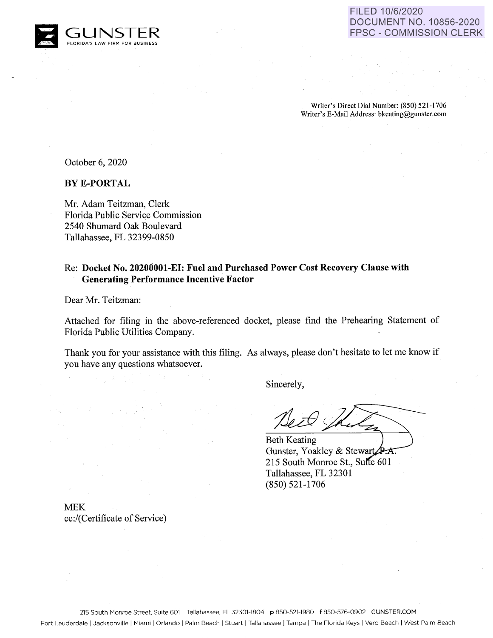

Writer's Direct Dial Number: (850) 521-1706 Writer's E-Mail Address: bkeating@gunster.com

October 6, 2020

**BYE-PORTAL** 

Mr. Adam Teitzman, Clerk Florida Public Service Commission 2540 Shumard Oak Boulevard Tallahassee, FL 32399-0850

# Re: **Docket No. 20200001-EI: Fuel and Purchased Power Cost Recovery Clause with Generating Performance Incentive Factor**

Dear Mr. Teitzman:

Attached for filing in the above-referenced docket, please find the Prehearing Statement of Florida Public Utilities Company.

Thank you for your assistance with this filing. As always, please don't hesitate to let me know if you have any questions whatsoever.

Sincerely,

Beth Keating Gunster, Yoakley & Stewart  $\cancel{P.A.}$ 215 South Monroe St., Suite 601 Tallahassee, FL 32301 (850) 521-1706

MEK cc:/(Certificate of Service)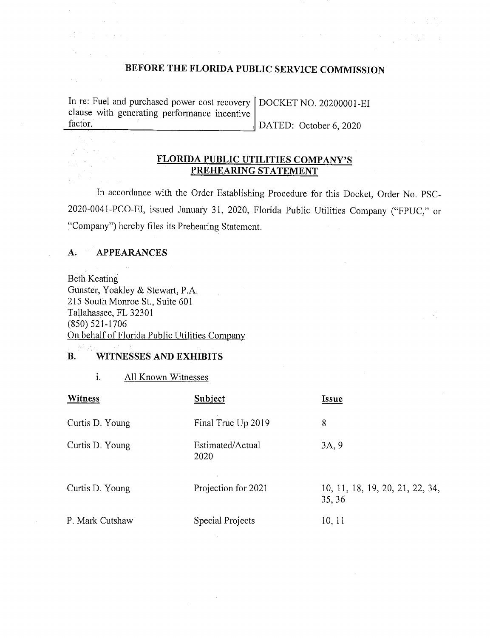# **BEFORE THE FLORIDA PUBLIC SERVICE COMMISSION**

In re: Fuel and purchased power cost recovery | DOCKET NO. 20200001-EI clause with generating performance incentive factor. DATED: October 6, 2020

# **FLORIDA PUBLIC UTILITIES COMPANY'S PREHEARING STATEMENT**

In accordance with the Order Establishing Procedure for this Docket, Order No. PSC-2020-0041-PCO-EI, issued January 31, 2020, Florida Public Utilities Company ("FPUC," or "Company") hereby files its Prehearing Statement.

## **A. APPEARANCES**

 $\mathcal{L}^{\mathcal{L}}$ 

 $\mathcal{L}_{\mathcal{A}}$ 

 $\frac{1}{\sqrt{2}}$ 

 $\bar{\xi}$  :

2.1 (3)

 $\sim$   $\sigma_{\rm g}$ 

Beth Keating Gunster, Yoakley & Stewart, P.A. 215 South Monroe St., Suite 601 Tallahassee, FL 32301 (850) 521-1706 On behalf of Florida Public Utilities Company

#### **B. WITNESSES AND EXHIBITS**

1. All Known Witnesses

| <b>Witness</b>  | Subject                  | <b>Issue</b>                              |
|-----------------|--------------------------|-------------------------------------------|
| Curtis D. Young | Final True Up 2019       | 8                                         |
| Curtis D. Young | Estimated/Actual<br>2020 | 3A, 9                                     |
| Curtis D. Young | Projection for 2021      | 10, 11, 18, 19, 20, 21, 22, 34,<br>35, 36 |
| P. Mark Cutshaw | Special Projects         | 10, 11                                    |

 $\mathcal{A}$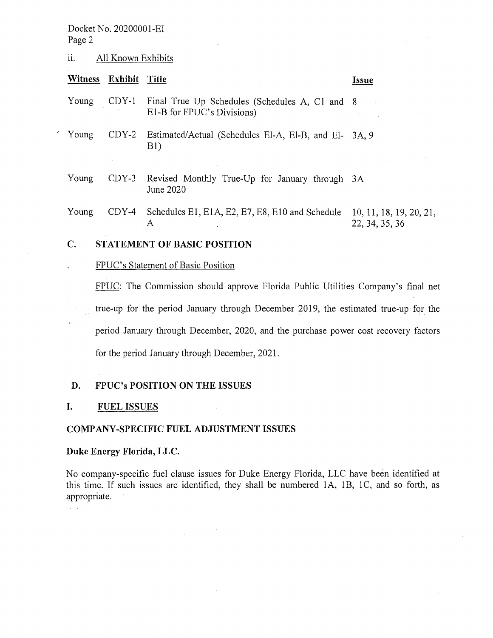# ii. All Known Exhibits

|                    | Witness Exhibit Title |                                                                              | <i>Issue</i> |
|--------------------|-----------------------|------------------------------------------------------------------------------|--------------|
| Young              | CDY-1                 | Final True Up Schedules (Schedules A, C1 and 8<br>E1-B for FPUC's Divisions) |              |
| <sup>7</sup> Young |                       | CDY-2 Estimated/Actual (Schedules El-A, El-B, and El- 3A, 9<br>B1)           |              |
|                    |                       |                                                                              |              |
|                    |                       |                                                                              |              |

Young CDY-3 Revised Monthly True-Up for January through 3A June 2020

Young CDY-4 Schedules E1, E1A, E2, E7, E8, E10 and Schedule A 10, 11, 18, 19, 20, 21, 22,34,35,36

# **C. STATEMENT OF BASIC POSITION**

# FPUC's Statement of Basic Position

FPUC: The Commission should approve Florida Public Utilities Company's final net true-up for the period January through December 2019, the estimated true-up for the period January through December, 2020, and the purchase power cost recovery factors for the period January through December, 2021.

#### **D. FPUC's POSITION ON THE ISSUES**

# **I. FUEL ISSUES**

#### **COMPANY-SPECIFIC FUEL ADJUSTMENT ISSUES**

## **Duke Energy Florida, LLC.**

No company-specific fuel clause issues for Duke Energy Florida, LLC have been identified at this time. If such issues are identified, they shall be numbered IA, lB, IC, and so forth, as appropriate.

 $\sim$   $\sim$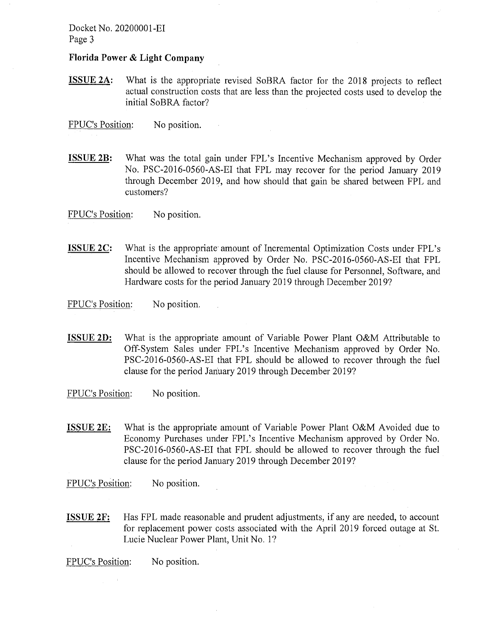**Florida Power & Light Company** 

**ISSUE 2A:** What is the appropriate revised SoBRA factor for the 2018 projects to reflect actual construction costs that are less than the projected costs used to develop the initial SoBRA factor?

 $\sim$   $\sim$ 

 $\mathcal{L}_{\mathcal{A}}$ 

FPUC's Position: No position.

**ISSUE 2B:** What was the total gain under FPL's Incentive Mechanism approved by Order No. PSC-2016-0560-AS-EI that FPL may recover for the period January 2019 through December 2019, and how should that gain be shared between FPL and customers?

FPUC's Position: No position.

**ISSUE 2C:** What is the appropriate amount of Incremental Optimization Costs under FPL's Incentive Mechanism approved by Order No. PSC-2016-0560-AS-EI that FPL should be allowed to recover through the fuel clause for Personnel, Software, and Hardware costs for the period January 2019 through December 2019?

FPUC's Position: No position.

- **ISSUE 2D:** What is the appropriate amount of Variable Power Plant O&M Attributable to Off-System Sales under FPL's Incentive Mechanism approved by Order No. PSC-2016-0560-AS-EI that FPL should be allowed to recover through the fuel clause for the period Jariuary 2019 through December 2019?
- FPUC's Position: No position.
- **ISSUE 2E:** What is the appropriate amount of Variable Power Plant O&M Avoided due to Economy Purchases under FPL's Incentive Mechanism approved by Order No. PSC-2016-0560-AS-EI that FPL should be allowed to recover through the fuel clause for the period January 2019 through December 2019?

FPUC's Position: No position.

**ISSUE 2F:** Has FPL made reasonable and prudent adjustments, if any are needed, to account for replacement power costs associated with the April 2019 forced outage at St. Lucie Nuclear Power Plant, Unit No. 1?

FPUC's Position: No position.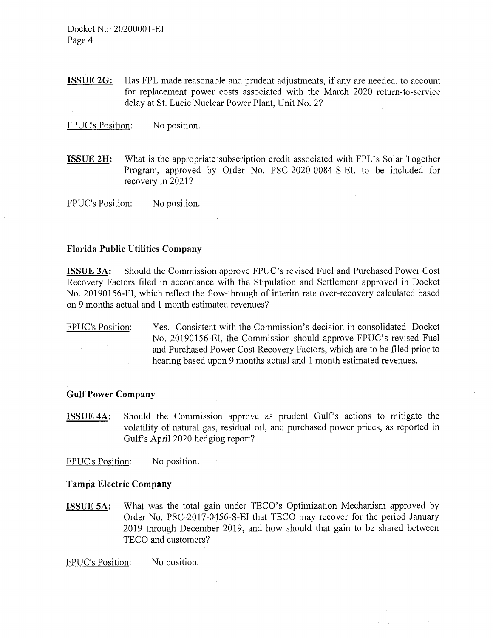**ISSUE 2G:** Has FPL made reasonable and prudent adjustments, if any are needed, to account for replacement power costs associated with the March 2020 return-to-service delay at St. Lucie Nuclear Power Plant, Unit No. 2?

FPUC's Position: No position.

**ISSUE 2H:** What is the appropriate subscription credit associated with FPL's Solar Together Program, approved by Order No. PSC-2020-0084-S-EI, to be included for recovery in 2021?

FPUC's Position: No position.

# **Florida Public Utilities Company**

**ISSUE 3A:** Should the Commission approve FPUC's revised Fuel and Purchased Power Cost Recovery Factors filed in accordance with the Stipulation and Settlement approved in Docket No. 20190156-EI, which reflect the flow-through of interim rate over-recovery calculated based on 9 months actual and **1** month estimated revenues?

FPUC's Position: Yes. Consistent with the Commission's decision in consolidated Docket No. 20190156-EI, the Commission should approve FPUC's revised Fuel and Purchased Power Cost Recovery Factors, which are to be filed prior to hearing based upon 9 months actual and 1 month estimated revenues.

#### **Gulf Power Company**

**ISSUE 4A:** Should the Commission approve as prudent Gulf's actions to mitigate the volatility of natural gas, residual oil, and purchased power prices, as reported in Gulfs April 2020 hedging report?

FPUC's Position: No position.

#### **Tampa Electric Company**

**ISSUE 5A:** What was the total gain under TECO's Optimization Mechanism approved by Order No. PSC-2017-0456-S-EI that TECO may recover for the period January 2019 through December 2019, and how should that gain to be shared between TECO and customers?

FPUC's Position: No position.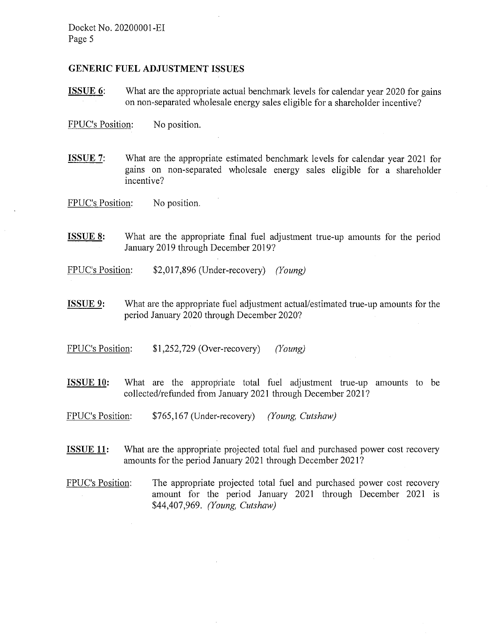# **GENERIC FUEL ADJUSTMENT ISSUES**

**ISSUE 6:** What are the appropriate actual benchmark levels for calendar year 2020 for gains on non-separated wholesale energy sales eligible for a shareholder incentive?

FPUC's Position: No position.

**ISSUE 7:** What are the appropriate estimated benchmark levels for calendar year 2021 for gains on non-separated wholesale energy sales eligible for a shareholder incentive?

FPUC's Position: No position.

- **ISSUE 8:** What are the appropriate final fuel adjustment true-up amounts for the period January 2019 through December 2019?
- FPUC's Position: \$2,017,896 (Under-recovery) *(Young)*
- **ISSUE 9:** What are the appropriate fuel adjustment actual/estimated true-up amounts for the period January 2020 through December 2020?
- FPUC's Position: \$1,252,729 (Over-recovery) *(Young)*
- **ISSUE 10:** What are the appropriate total fuel adjustment true-up amounts to be collected/refunded from January 2021 through December 2021?
- FPUC's Position: \$765,167 (Under-recovery) *(Young, Cutshaw)*
- **ISSUE 11:** What are the appropriate projected total fuel and purchased power cost recovery amounts for the period January 2021 through December 2021?
- FPUC's Position: The appropriate projected total fuel and purchased power cost recovery amount for the period January 2021 through December 2021 is \$44,407,969. *(Young, Cutshaw)*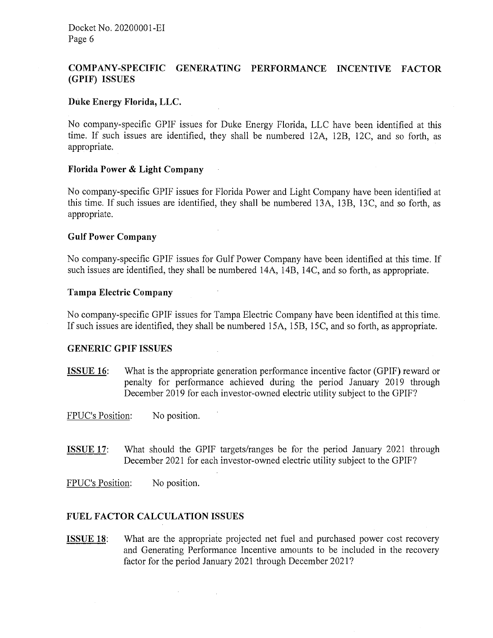# **COMPANY-SPECIFIC GENERATING PERFORMANCE INCENTIVE FACTOR (GPIF) ISSUES**

# **Duke Energy Florida, LLC.**

No company-specific GPIF issues for Duke Energy Florida, LLC have been identified at this time. If such issues are identified, they shall be numbered 12A, 12B, 12C, and so forth, as appropriate.

# **Florida Power & Light Company**

No company-specific GPIF issues for Florida Power and Light Company have been identified at this time. If such issues are identified, they shall be numbered 13A, 13B, 13C, and so forth, as appropriate.

 $\ddot{\phantom{a}}$ 

# **Gulf Power Company**

No company-specific GPIF issues for Gulf Power Company have been identified at this time. If such issues are identified, they shall be numbered 14A, 14B, 14C, and so forth, as appropriate.

#### **Tampa Electric Company**

No company-specific GPIF issues for Tampa Electric Company have been identified at this time. If such issues are identified, they shall be numbered 15A, 15B, 15C, and so forth, as appropriate.

#### **GENERIC GPIF ISSUES**

**ISSUE 16:** What is the appropriate generation performance incentive factor (GPIF) reward or penalty for performance achieved during the period January 2019 through December 2019 for each investor-owned electric utility subject to the GPIF?

FPUC's Position: No position.

- **ISSUE 17:** What should the GPIF targets/ranges be for the period January 2021 through December 2021 for each investor-owned electric utility subject to the GPIF?
- FPUC's Position: No position.

# **FUEL FACTOR CALCULATION ISSUES**

 $\sigma_{\rm{max}}=0.01$  and  $\sigma_{\rm{max}}$ 

**ISSUE 18:** What are the appropriate projected net fuel and purchased power cost recovery and Generating Performance Incentive amounts to be included in the recovery factor for the period January 2021 through December 2021?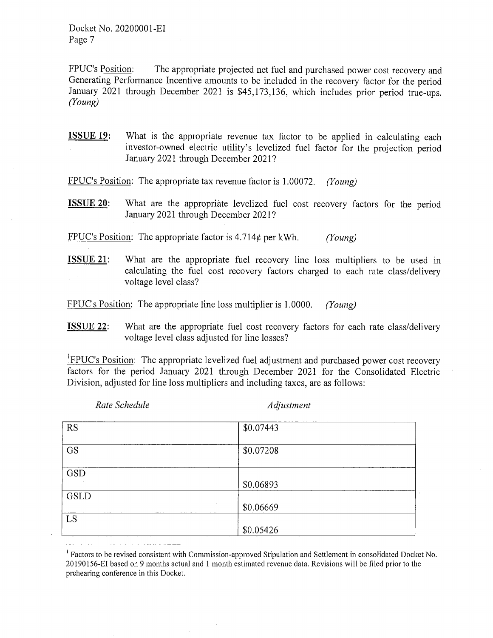FPUC's Position: The appropriate projected net fuel and purchased power cost recovery and Generating Performance Incentive amounts to be included in the recovery factor for the period January 2021 through December 2021 is \$45,173,136, which includes prior period true-ups. *(Young)* 

**ISSUE 19:** What is the appropriate revenue tax factor to be applied in calculating each investor-owned electric utility's levelized fuel factor for the projection period January 2021 through December 2021?

FPUC's Position: The appropriate tax revenue factor is 1.00072. *(Young)* 

**ISSUE 20:** What are the appropriate levelized fuel cost recovery factors for the period January 2021 through December 2021?

FPUC's Position: The appropriate factor is 4.714¢ per kWh. *(Young)* 

**ISSUE 21:** What are the appropriate fuel recovery line loss multipliers to be used in calculating the fuel cost recovery factors charged to each rate class/delivery voltage level class?

FPUC's Position: The appropriate line loss multiplier is 1.0000. *(Young)* 

**ISSUE 22:** What are the appropriate fuel cost recovery factors for each rate class/delivery voltage level class adjusted for line losses?

FIPUC's Position: The appropriate levelized fuel adjustment and purchased power cost recovery factors for the period January 2021 through December 2021 for the Consolidated Electric Division, adjusted for line loss multipliers and including taxes, are as follows:

*Rate Schedule* **Adjustment** *Adjustment* 

| <b>RS</b>   | \$0.07443<br>$\sim$  |  |
|-------------|----------------------|--|
| GS          | $\cdot$<br>\$0.07208 |  |
| <b>GSD</b>  |                      |  |
|             | \$0.06893            |  |
| <b>GSLD</b> |                      |  |
|             | $\cdot$<br>\$0.06669 |  |
| LS          |                      |  |
|             | \$0.05426            |  |

<sup>&</sup>lt;sup>1</sup> Factors to be revised consistent with Commission-approved Stipulation and Settlement in consolidated Docket No. 20190156-EI based on 9 months actual and 1 month estimated revenue data. Revisions will be filed prior to the prehearing conference in this Docket.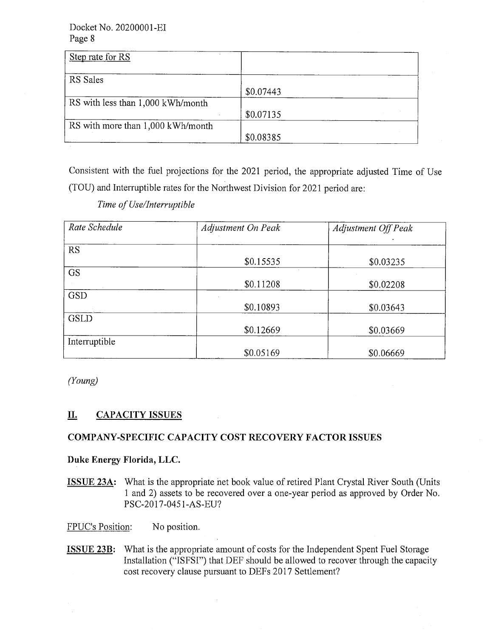| Step rate for RS                  |           |
|-----------------------------------|-----------|
| RS Sales                          |           |
|                                   | \$0.07443 |
| RS with less than 1,000 kWh/month |           |
|                                   | \$0.07135 |
| RS with more than 1,000 kWh/month |           |
|                                   | \$0.08385 |

Consistent with the fuel projections for the 2021 period, the appropriate adjusted Time of Use (TOU) and Interruptible rates for the Northwest Division for 2021 period are:

*Time of Use/Interruptible* 

| Rate Schedule | Adjustment On Peak | <b>Adjustment Off Peak</b> |
|---------------|--------------------|----------------------------|
|               |                    |                            |
| <b>RS</b>     |                    |                            |
|               | \$0.15535          | \$0.03235                  |
| <b>GS</b>     |                    |                            |
|               | \$0.11208          | \$0.02208                  |
| <b>GSD</b>    |                    |                            |
|               | \$0.10893          | \$0.03643                  |
| <b>GSLD</b>   |                    |                            |
|               | \$0.12669          | \$0.03669                  |
| Interruptible |                    |                            |
|               | \$0.05169          | \$0.06669                  |

*(Young)* 

# **II. CAPACITY ISSUES**

# **COMPANY-SPECIFIC CAPACITY COST RECOVERY FACTOR ISSUES**

 $\alpha$ 

# **Duke Energy Florida, LLC.**

**ISSUE 23A:** What is the appropriate net book value of retired Plant Crystal River South (Units 1 and 2) assets to be recovered over a one-year period as approved by Order No. PSC-2017-0451-AS-EU?

FPUC's Position: No position.

**ISSUE 23B:** What is the appropriate amount of costs for the Independent Spent Fuel Storage Installation ("ISFSI") that DEF should be allowed to recover through the capacity cost recovery clause pursuant to DEFs 2017 Settlement?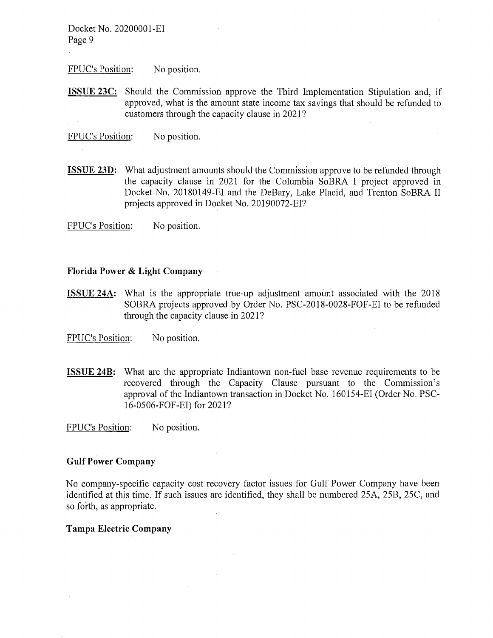FPUC's Position: No position.

**ISSUE 23C:** Should the Commission approve the Third Implementation Stipulation and, if approved, what is the amount state income tax savings that should be refunded to customers through the capacity clause in 2021?

FPUC's Position: No position.

**ISSUE 23D:** What adjustment amounts should the Commission approve to be refunded through the capacity clause in 2021 for the Columbia SoBRA I project approved in Docket No. 20180149-EI and the DeBary, Lake Placid, and Trenton SoBRA II projects approved in Docket No. 20190072-EI?

FPUC's Position: No position.

#### **Florida Power & Light Company**

**ISSUE 24A:** What is the appropriate true-up adjustment amount associated with the 2018 SOBRA projects approved by Order No. PSC-2018-0028-FOF-EI to be refunded through the capacity clause in 2021?

FPUC's Position: No position.

**ISSUE 24B:** What are the appropriate Indiantown non-fuel base revenue requirements to be recovered through the Capacity Clause pursuant to the Commission's approval of the Indiantown transaction in Docket No. 160154-EI (Order No. PSC-16-0506-FOF-EI) for 2021?

FPUC's Position: No position.

## **Gulf Power Company**

No company-specific capacity cost recovery factor issues for Gulf Power Company have been identified at this time. If such issues are identified, they shall be numbered 25A, 25B, 25C, and so forth, as appropriate.

#### **Tampa Electric Company**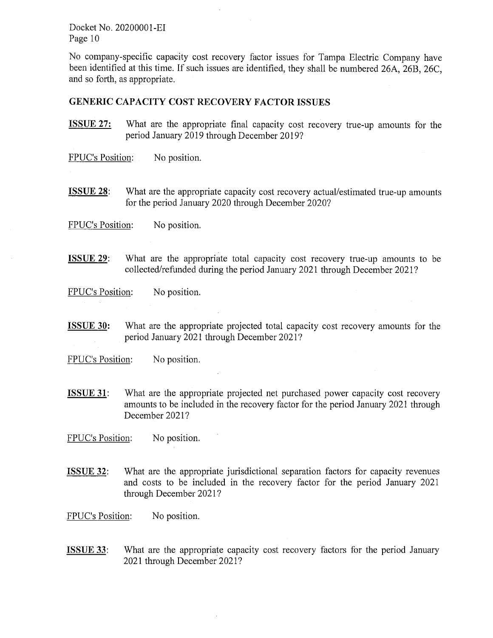No company-specific capacity cost recovery factor issues for Tampa Electric Company have been identified at this time. If such issues are identified, they shall be numbered 26A, 26B, 26C, and so forth, as appropriate.

#### **GENERIC CAPACITY COST RECOVERY FACTOR ISSUES**

- **ISSUE 27:** What are the appropriate final capacity cost recovery true-up amounts for the period January 2019 through December 2019?
- FPUC's Position: No position.
- **ISSUE 28:** What are the appropriate capacity cost recovery actual/estimated true-up amounts for the period January 2020 through December 2020?

FPUC's Position: No position.

**ISSUE 29:** What are the appropriate total capacity cost recovery true-up amounts to be collected/refunded during the period January 2021 through December 2021?

FPUC's Position: No position.

**ISSUE 30:** What are the appropriate projected total capacity cost recovery amounts for the period January 2021 through December 2021?

FPUC's Position: No position.

**ISSUE 31:** What are the appropriate projected net purchased power capacity cost recovery amounts to be included in the recovery factor for the period January 2021 through December 2021?

FPUC's Position: No position.

**ISSUE 32:** What are the appropriate jurisdictional separation factors for capacity revenues and costs to be included in the recovery factor for the period January 2021 through December 2021?

FPUC's Position: No position.

**ISSUE 33:** What are the appropriate capacity cost recovery factors for the period January 2021 through December 2021?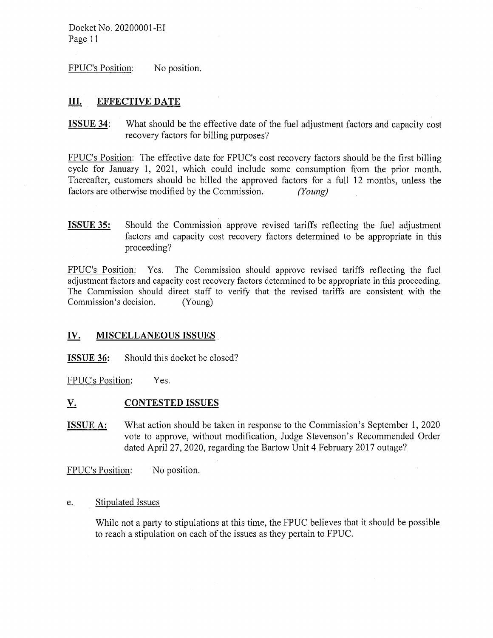FPUC's Position: No position.

# **III. EFFECTIVE DATE**

**ISSUE 34:** What should be the effective date of the fuel adjustment factors and capacity cost recovery factors for billing purposes?

FPUC's Position: The effective date for FPUC's cost recovery factors should be the first billing cycle for January 1, 2021, which could include some consumption from the prior month. Thereafter, customers should be billed the approved factors for a full 12 months, unless the factors are otherwise modified by the Commission. *(Young)* 

**ISSUE 35:** Should the Commission approve revised tariffs reflecting the fuel adjustment factors and capacity cost recovery factors determined to be appropriate in this proceeding?

FPUC's Position: Yes. The Commission should approve revised tariffs reflecting the fuel adjustment factors and capacity cost recovery factors determined to be appropriate in this proceeding. The Commission should direct staff to verify that the revised tariffs are consistent with the Commission's decision. (Young)

# **IV. MISCELLANEOUS ISSUES**

**ISSUE 36:** Should this docket be closed?

FPUC's Position: Yes.

#### <u>V.</u> **CONTESTED ISSUES**

**ISSUE A:** What action should be taken in response to the Commission's September 1, 2020 vote to approve, without modification, Judge Stevenson's Recommended Order dated April 27, 2020, regarding the Bartow Unit 4 February 2017 outage?

FPUC's Position: No position.

e. Stipulated Issues

While not a party to stipulations at this time, the FPUC believes that it should be possible to reach a stipulation on each of the issues as they pertain to FPUC.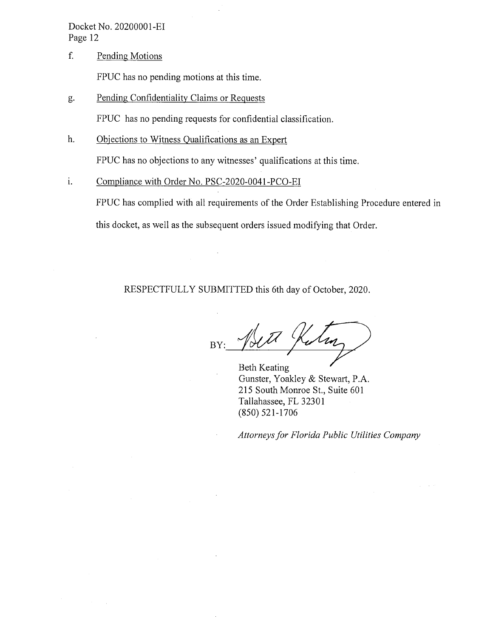f. Pending Motions

FPUC has no pending motions at this time.

g. Pending Confidentiality Claims or Requests

FPUC has no pending requests for confidential classification.

h. Objections to Witness Qualifications as an Expert

FPUC has no objections to any witnesses' qualifications at this time.

1. Compliance with Order No. PSC-2020-0041-PCO-EI

> FPUC has complied with all requirements of the Order Establishing Procedure entered in this docket, as well as the subsequent orders issued modifying that Order.

RESPECTFULLY SUBMITTED this 6th day of October, 2020.

 $\frac{1}{\sqrt{2\pi i}}$ 

Gunster, Yoakley & Stewart, P.A. 215 South Monroe St., Suite 601 Tallahassee, FL 32301 (850) 521-1706

*Attorneys for Florida Public Utilities Company*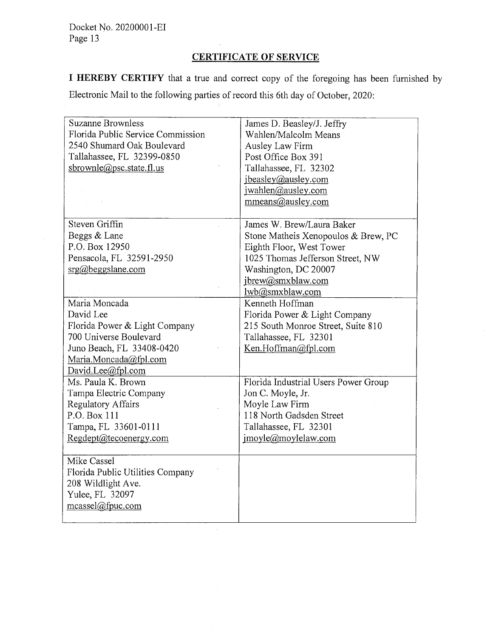# **CERTIFICATE OF SERVICE**

**I HEREBY CERTIFY** that a true and correct copy of the foregoing has been furnished by Electronic Mail to the following parties of record this 6th day of October, 2020:

| <b>Suzanne Brownless</b>          | James D. Beasley/J. Jeffry           |
|-----------------------------------|--------------------------------------|
| Florida Public Service Commission | Wahlen/Malcolm Means                 |
| 2540 Shumard Oak Boulevard        | Ausley Law Firm                      |
| Tallahassee, FL 32399-0850        | Post Office Box 391                  |
| sbrownle@psc.state.fl.us          | Tallahassee, FL 32302                |
|                                   | jbeasley@ausley.com                  |
|                                   | jwahlen@ausley.com                   |
|                                   | mmeans@ausley.com                    |
|                                   |                                      |
| Steven Griffin                    | James W. Brew/Laura Baker            |
| Beggs & Lane                      | Stone Matheis Xenopoulos & Brew, PC  |
| P.O. Box 12950                    | Eighth Floor, West Tower             |
| Pensacola, FL 32591-2950          | 1025 Thomas Jefferson Street, NW     |
| $\text{srg}(a)$ beggslane.com     | Washington, DC 20007                 |
|                                   | jbrew@smxblaw.com                    |
|                                   | lwb@smxblaw.com                      |
| Maria Moncada                     | Kenneth Hoffman                      |
| David Lee                         | Florida Power & Light Company        |
| Florida Power & Light Company     | 215 South Monroe Street, Suite 810   |
| 700 Universe Boulevard            | Tallahassee, FL 32301                |
| Juno Beach, FL 33408-0420         | Ken.Hoffman@fpl.com                  |
| Maria.Moncada@fpl.com             |                                      |
| David.Lee@fpl.com                 |                                      |
| Ms. Paula K. Brown                | Florida Industrial Users Power Group |
| Tampa Electric Company            | Jon C. Moyle, Jr.                    |
| <b>Regulatory Affairs</b>         | Moyle Law Firm                       |
| P.O. Box 111                      | 118 North Gadsden Street             |
| Tampa, FL 33601-0111              | Tallahassee, FL 32301                |
| Regdept@tecoenergy.com            | jmoyle@moylelaw.com                  |
|                                   |                                      |
| Mike Cassel                       |                                      |
| Florida Public Utilities Company  |                                      |
| 208 Wildlight Ave.                |                                      |
| Yulee, FL 32097                   |                                      |
| mcassel@fpuc.com                  |                                      |
|                                   |                                      |

 $\hat{\mathcal{L}}$